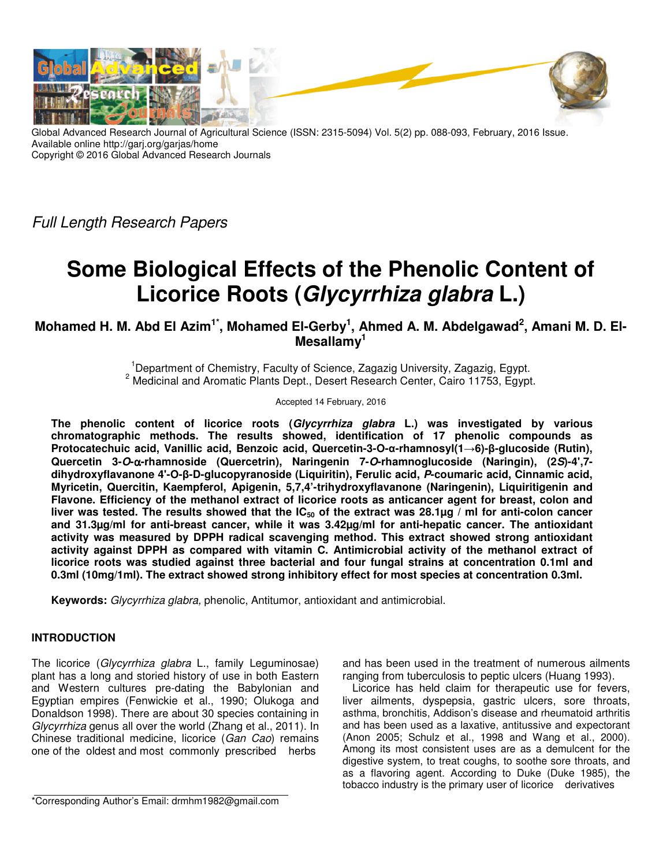

Global Advanced Research Journal of Agricultural Science (ISSN: 2315-5094) Vol. 5(2) pp. 088-093, February, 2016 Issue. Available online http://garj.org/garjas/home Copyright © 2016 Global Advanced Research Journals

Full Length Research Papers

# **Some Biological Effects of the Phenolic Content of Licorice Roots (Glycyrrhiza glabra L.)**

**Mohamed H. M. Abd El Azim1\*, Mohamed El-Gerby<sup>1</sup> , Ahmed A. M. Abdelgawad<sup>2</sup> , Amani M. D. El-Mesallamy<sup>1</sup>**

> <sup>1</sup>Department of Chemistry, Faculty of Science, Zagazig University, Zagazig, Egypt. <sup>2</sup> Medicinal and Aromatic Plants Dept., Desert Research Center, Cairo 11753, Egypt.

> > Accepted 14 February, 2016

**The phenolic content of licorice roots (Glycyrrhiza glabra L.) was investigated by various chromatographic methods. The results showed, identification of 17 phenolic compounds as Protocatechuic acid, Vanillic acid, Benzoic acid, Quercetin-3-O-α-rhamnosyl(1→6)-β-glucoside (Rutin), Quercetin 3-O-**α**-rhamnoside (Quercetrin), Naringenin 7-O-rhamnoglucoside (Naringin), (2S)-4',7 dihydroxyflavanone 4'-O-β-D-glucopyranoside (Liquiritin), Ferulic acid, P-coumaric acid, Cinnamic acid, Myricetin, Quercitin, Kaempferol, Apigenin, 5,7,4'-trihydroxyflavanone (Naringenin), Liquiritigenin and Flavone. Efficiency of the methanol extract of licorice roots as anticancer agent for breast, colon and liver was tested. The results showed that the IC50 of the extract was 28.1µg / ml for anti-colon cancer and 31.3µg/ml for anti-breast cancer, while it was 3.42µg/ml for anti-hepatic cancer. The antioxidant activity was measured by DPPH radical scavenging method. This extract showed strong antioxidant activity against DPPH as compared with vitamin C. Antimicrobial activity of the methanol extract of licorice roots was studied against three bacterial and four fungal strains at concentration 0.1ml and 0.3ml (10mg/1ml). The extract showed strong inhibitory effect for most species at concentration 0.3ml.**

**Keywords:** Glycyrrhiza glabra, phenolic, Antitumor, antioxidant and antimicrobial.

# **INTRODUCTION**

The licorice (Glycyrrhiza glabra L., family Leguminosae) plant has a long and storied history of use in both Eastern and Western cultures pre-dating the Babylonian and Egyptian empires (Fenwickie et al., 1990; Olukoga and Donaldson 1998). There are about 30 species containing in Glycyrrhiza genus all over the world (Zhang et al., 2011). In Chinese traditional medicine, licorice (Gan Cao) remains one of the oldest and most commonly prescribed herbs

\*Corresponding Author's Email: drmhm1982@gmail.com

and has been used in the treatment of numerous ailments ranging from tuberculosis to peptic ulcers (Huang 1993).

Licorice has held claim for therapeutic use for fevers, liver ailments, dyspepsia, gastric ulcers, sore throats, asthma, bronchitis, Addison's disease and rheumatoid arthritis and has been used as a laxative, antitussive and expectorant (Anon 2005; Schulz et al., 1998 and Wang et al., 2000). Among its most consistent uses are as a demulcent for the digestive system, to treat coughs, to soothe sore throats, and as a flavoring agent. According to Duke (Duke 1985), the tobacco industry is the primary user of licorice derivatives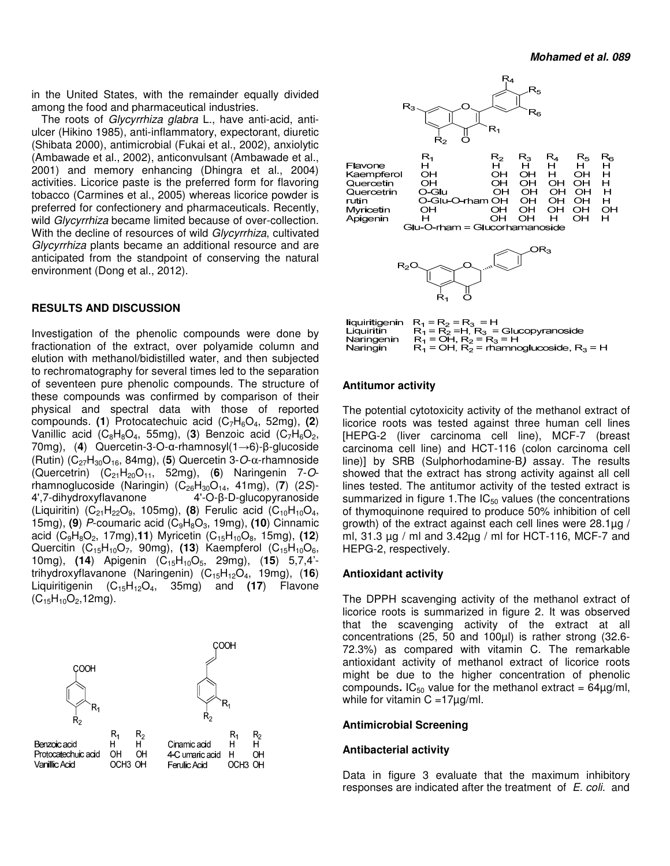in the United States, with the remainder equally divided among the food and pharmaceutical industries.

The roots of Glycyrrhiza glabra L., have anti-acid, antiulcer (Hikino 1985), anti-inflammatory, expectorant, diuretic (Shibata 2000), antimicrobial (Fukai et al., 2002), anxiolytic (Ambawade et al., 2002), anticonvulsant (Ambawade et al., 2001) and memory enhancing (Dhingra et al., 2004) activities. Licorice paste is the preferred form for flavoring tobacco (Carmines et al., 2005) whereas licorice powder is preferred for confectionery and pharmaceuticals. Recently, wild *Glycyrrhiza* became limited because of over-collection. With the decline of resources of wild Glycyrrhiza, cultivated Glycyrrhiza plants became an additional resource and are anticipated from the standpoint of conserving the natural environment (Dong et al., 2012).

#### **RESULTS AND DISCUSSION**

Investigation of the phenolic compounds were done by fractionation of the extract, over polyamide column and elution with methanol/bidistilled water, and then subjected to rechromatography for several times led to the separation of seventeen pure phenolic compounds. The structure of these compounds was confirmed by comparison of their physical and spectral data with those of reported compounds. **(1**) Protocatechuic acid (C7H6O4, 52mg), **(2**) Vanillic acid (C<sub>8</sub>H<sub>8</sub>O<sub>4</sub>, 55mg), (3) Benzoic acid (C<sub>7</sub>H<sub>6</sub>O<sub>2</sub>, 70mg), (**4**) Quercetin-3-O-α-rhamnosyl(1→6)-β-glucoside (Rutin) (C<sub>27</sub>H<sub>30</sub>O<sub>16</sub>, 84mg), (5) Quercetin 3-O-α-rhamnoside (Quercetrin) (C21H20O11, 52mg), (**6**) Naringenin 7-Orhamnoglucoside (Naringin) (C<sub>26</sub>H<sub>30</sub>O<sub>14</sub>, 41mg), (**7**) (2S)-<br>4',7-dihydroxyflavanone 4'-O-β-D-glucopyranoside 4'-O-β-D-glucopyranoside (Liquiritin)  $(C_{21}H_{22}O_9, 105mg)$ , **(8)** Ferulic acid  $(C_{10}H_{10}O_4,$ 15mg), (9) P-coumaric acid (C<sub>9</sub>H<sub>8</sub>O<sub>3</sub>, 19mg), (10) Cinnamic acid (C<sub>9</sub>H<sub>8</sub>O<sub>2</sub>, 17mg), 11) Myricetin (C<sub>15</sub>H<sub>10</sub>O<sub>8</sub>, 15mg), (12) Quercitin (C<sub>15</sub>H<sub>10</sub>O<sub>7</sub>, 90mg), (13) Kaempferol (C<sub>15</sub>H<sub>10</sub>O<sub>6</sub>, 10mg), **(14**) Apigenin (C15H10O5, 29mg), (**15**) 5,7,4' trihydroxyflavanone (Naringenin) (C15H12O4, 19mg), (**16**) Liquiritigenin (C<sub>15</sub>H<sub>12</sub>O<sub>4</sub>, 35mg) and (17) Flavone  $(C_{15}H_{10}O_2, 12mg)$ .





|            | liquiritigenin $R_1 = R_2 = R_3 = H$           |
|------------|------------------------------------------------|
| Liauiritin | $R_1 = R_2 = H$ , $R_3 = Glucopy$ ranoside     |
| Naringenin | $R_1 = OH$ , $R_2 = R_3 = H$                   |
| Naringin   | $R_1$ = OH, $R_2$ = rhamnoglucoside, $R_3$ = H |

#### **Antitumor activity**

The potential cytotoxicity activity of the methanol extract of licorice roots was tested against three human cell lines [HEPG-2 (liver carcinoma cell line), MCF-7 (breast carcinoma cell line) and HCT-116 (colon carcinoma cell line)] by SRB (Sulphorhodamine-B**)** assay. The results showed that the extract has strong activity against all cell lines tested. The antitumor activity of the tested extract is summarized in figure 1. The  $IC_{50}$  values (the concentrations of thymoquinone required to produce 50% inhibition of cell growth) of the extract against each cell lines were 28.1µg / ml, 31.3  $\mu$ g / ml and 3.42 $\mu$ g / ml for HCT-116, MCF-7 and HEPG-2, respectively.

#### **Antioxidant activity**

The DPPH scavenging activity of the methanol extract of licorice roots is summarized in figure 2. It was observed that the scavenging activity of the extract at all concentrations (25, 50 and 100µl) is rather strong (32.6- 72.3%) as compared with vitamin C. The remarkable antioxidant activity of methanol extract of licorice roots might be due to the higher concentration of phenolic compounds.  $IC_{50}$  value for the methanol extract =  $64\mu g/ml$ , while for vitamin  $C = 17 \mu g/ml$ .

#### **Antimicrobial Screening**

#### **Antibacterial activity**

Data in figure 3 evaluate that the maximum inhibitory responses are indicated after the treatment of E. coli. and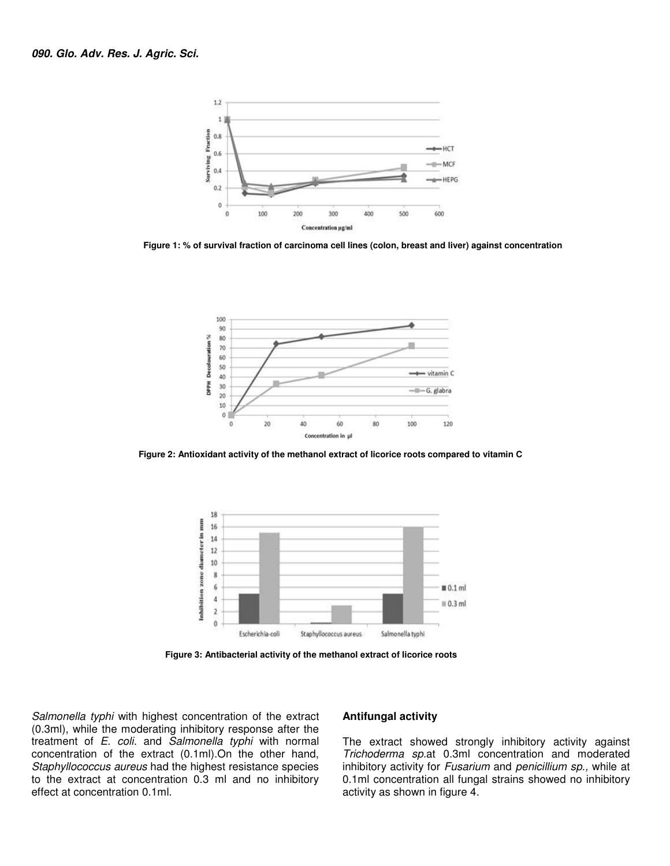

 **Figure 1: % of survival fraction of carcinoma cell lines (colon, breast and liver) against concentration** 



 **Figure 2: Antioxidant activity of the methanol extract of licorice roots compared to vitamin C**



 **Figure 3: Antibacterial activity of the methanol extract of licorice roots** 

Salmonella typhi with highest concentration of the extract (0.3ml), while the moderating inhibitory response after the treatment of E. coli. and Salmonella typhi with normal concentration of the extract (0.1ml).On the other hand, Staphyllococcus aureus had the highest resistance species to the extract at concentration 0.3 ml and no inhibitory effect at concentration 0.1ml.

#### **Antifungal activity**

The extract showed strongly inhibitory activity against Trichoderma sp.at 0.3ml concentration and moderated inhibitory activity for Fusarium and penicillium sp., while at 0.1ml concentration all fungal strains showed no inhibitory activity as shown in figure 4.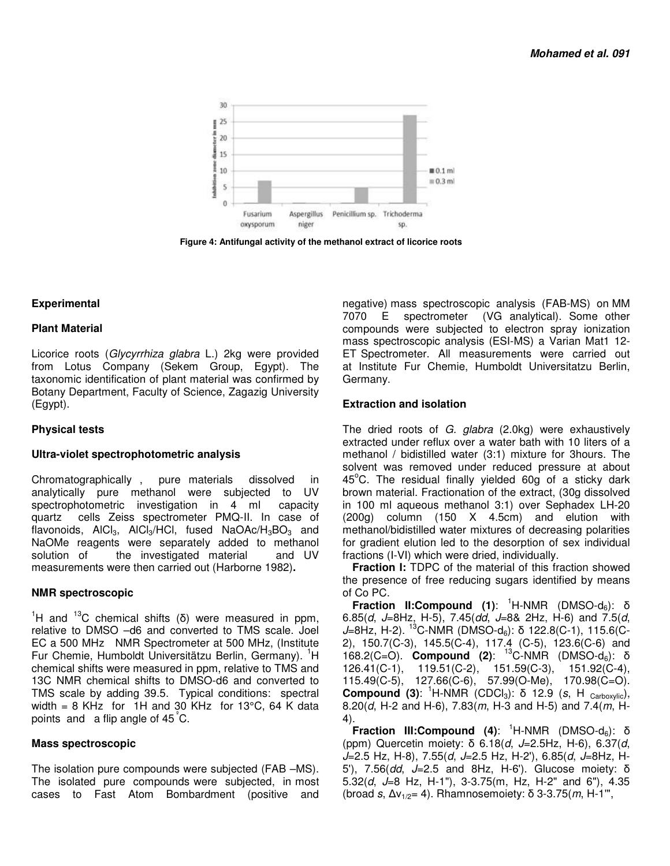

 **Figure 4: Antifungal activity of the methanol extract of licorice roots** 

## **Experimental**

## **Plant Material**

Licorice roots (Glycyrrhiza glabra L.) 2kg were provided from Lotus Company (Sekem Group, Egypt). The taxonomic identification of plant material was confirmed by Botany Department, Faculty of Science, Zagazig University (Egypt).

## **Physical tests**

## **Ultra-violet spectrophotometric analysis**

Chromatographically , pure materials dissolved in analytically pure methanol were subjected to UV spectrophotometric investigation in 4 ml capacity quartz cells Zeiss spectrometer PMQ-II. In case of flavonoids,  $AICI<sub>3</sub>$ ,  $AICI<sub>3</sub>/HCI$ , fused  $NaOAC/H<sub>3</sub>BO<sub>3</sub>$  and NaOMe reagents were separately added to methanol solution of the investigated material and UV measurements were then carried out (Harborne 1982)**.**

## **NMR spectroscopic**

<sup>1</sup>H and <sup>13</sup>C chemical shifts (δ) were measured in ppm, relative to DMSO –d6 and converted to TMS scale. Joel EC a 500 MHz NMR Spectrometer at 500 MHz, (Institute Fur Chemie, Humboldt Universitätzu Berlin, Germany). <sup>1</sup>H chemical shifts were measured in ppm, relative to TMS and 13C NMR chemical shifts to DMSO-d6 and converted to TMS scale by adding 39.5. Typical conditions: spectral width = 8 KHz for 1H and 30 KHz for 13 $^{\circ}$ C, 64 K data points and a flip angle of 45 °C.

## **Mass spectroscopic**

The isolation pure compounds were subjected (FAB –MS). The isolated pure compounds were subjected, in most cases to Fast Atom Bombardment (positive and

negative) mass spectroscopic analysis (FAB-MS) on MM 7070 E spectrometer (VG analytical). Some other compounds were subjected to electron spray ionization mass spectroscopic analysis (ESI-MS) a Varian Mat1 12- ET Spectrometer. All measurements were carried out at Institute Fur Chemie, Humboldt Universitatzu Berlin, Germany.

## **Extraction and isolation**

The dried roots of G. glabra (2.0kg) were exhaustively extracted under reflux over a water bath with 10 liters of a methanol / bidistilled water (3:1) mixture for 3hours. The solvent was removed under reduced pressure at about  $45^{\circ}$ C. The residual finally yielded 60g of a sticky dark brown material. Fractionation of the extract, (30g dissolved in 100 ml aqueous methanol 3:1) over Sephadex LH-20 (200g) column (150 X 4.5cm) and elution with methanol/bidistilled water mixtures of decreasing polarities for gradient elution led to the desorption of sex individual fractions (I-VI) which were dried, individually.

**Fraction I:** TDPC of the material of this fraction showed the presence of free reducing sugars identified by means of Co PC.

**Fraction II:Compound (1):** <sup>1</sup>H-NMR (DMSO-d<sub>6</sub>): δ 6.85(d, J=8Hz, H-5), 7.45(dd, J=8& 2Hz, H-6) and 7.5(d, J=8Hz, H-2). <sup>13</sup>C-NMR (DMSO-d<sub>6</sub>): δ 122.8(C-1), 115.6(C-2), 150.7(C-3), 145.5(C-4), 117.4 (C-5), 123.6(C-6) and 168.2(C=O). **Compound (2)**: <sup>13</sup>C-NMR (DMSO-d6): δ 126.41(C-1), 119.51(C-2), 151.59(C-3), 151.92(C-4), 115.49(C-5), 127.66(C-6), 57.99(O-Me), 170.98(C=O). **Compound (3):** <sup>1</sup>H-NMR (CDCl<sub>3</sub>): δ 12.9 (s, H <sub>Carboxylic</sub>), 8.20(d, H-2 and H-6), 7.83(m, H-3 and H-5) and 7.4(m, H-4).

**Fraction III:Compound (4):** <sup>1</sup>H-NMR (DMSO-d<sub>6</sub>): δ (ppm) Quercetin moiety: δ 6.18(d, J=2.5Hz, H-6), 6.37(d, J=2.5 Hz, H-8), 7.55(d, J=2.5 Hz, H-2'), 6.85(d, J=8Hz, H-5'), 7.56(dd, J=2.5 and 8Hz, H-6'). Glucose moiety: δ 5.32(d,  $J=8$  Hz, H-1"), 3-3.75(m, Hz, H-2" and 6"), 4.35 (broad s,  $\Delta v_{1/2}$ = 4). Rhamnosemoiety:  $\delta$  3-3.75(*m*, H-1",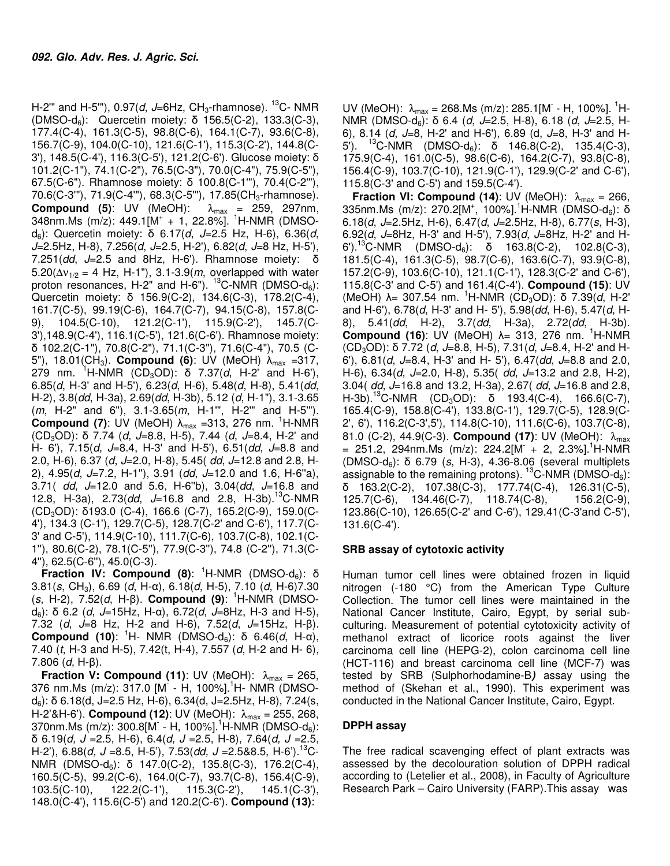H-2"' and H-5"'),  $0.97(d, J=6Hz, CH<sub>3</sub>-rhamnose)$ . <sup>13</sup>C- NMR (DMSO-d6): Quercetin moiety: δ 156.5(C-2), 133.3(C-3), 177.4(C-4), 161.3(C-5), 98.8(C-6), 164.1(C-7), 93.6(C-8), 156.7(C-9), 104.0(C-10), 121.6(C-1'), 115.3(C-2'), 144.8(C-3'), 148.5(C-4'), 116.3(C-5'), 121.2(C-6'). Glucose moiety: δ 101.2(C-1"), 74.1(C-2"), 76.5(C-3"), 70.0(C-4"), 75.9(C-5"), 67.5(C-6"). Rhamnose moiety: δ 100.8(C-1'"), 70.4(C-2'"), 70.6(C-3"), 71.9(C-4"), 68.3(C-5"), 17.85(CH<sub>3</sub>-rhamnose). **Compound (5):** UV (MeOH):  $\lambda_{\text{max}} = 259$ , 297nm, 348nm.Ms (m/z): 449.1[M<sup>+</sup> + 1, 22.8%]. <sup>1</sup>H-NMR (DMSOd<sub>6</sub>): Quercetin moiety: δ 6.17(d, J=2.5 Hz, H-6), 6.36(d,  $J=2.5$ Hz, H-8),  $7.256(d, J=2.5, H-2)$ ,  $6.82(d, J=8$  Hz, H-5'), 7.251(dd,  $J=2.5$  and 8Hz, H-6'). Rhamnose moiety: δ  $5.20(\Delta v_{1/2} = 4$  Hz, H-1"), 3.1-3.9(*m*, overlapped with water proton resonances, H-2" and H-6"). <sup>13</sup>C-NMR (DMSO-d<sub>6</sub>): Quercetin moiety: δ 156.9(C-2), 134.6(C-3), 178.2(C-4), 161.7(C-5), 99.19(C-6), 164.7(C-7), 94.15(C-8), 157.8(C-9), 104.5(C-10), 121.2(C-1'), 115.9(C-2'), 145.7(C-3'),148.9(C-4'), 116.1(C-5'), 121.6(C-6'). Rhamnose moiety: δ 102.2(C-1"), 70.8(C-2"), 71.1(C-3"), 71.6(C-4"), 70.5 (C-5"), 18.01(CH3). **Compound (6)**: UV (MeOH) λmax =317, 279 nm. <sup>1</sup>H-NMR (CD<sub>3</sub>OD): δ 7.37(*d*, H-2' and H-6'), 6.85(d, H-3' and H-5'),  $6.23(d, H-6)$ ,  $5.48(d, H-8)$ ,  $5.41(dd,$ H-2), 3.8(dd, H-3a), 2.69(dd, H-3b), 5.12 (d, H-1"), 3.1-3.65 (*m*, H-2" and 6"), 3.1-3.65(*m*, H-1"', H-2" and H-5"'). **Compound (7):** UV (MeOH)  $\lambda_{\text{max}}$  =313, 276 nm. <sup>1</sup>H-NMR (CD<sub>3</sub>OD): δ 7.74 (d, J=8.8, H-5), 7.44 (d, J=8.4, H-2' and H- 6'),  $7.15(d, J=8.4, H-3'$  and H-5'),  $6.51(dd, J=8.8$  and 2.0, H-6), 6.37 (d, J=2.0, H-8), 5.45 (dd, J=12.8 and 2.8, H-2),  $4.95(d, J=7.2, H-1")$ ,  $3.91$  (dd,  $J=12.0$  and 1.6,  $H-6"a$ ), 3.71(  $dd, J=12.0$  and 5.6, H-6"b), 3.04( $dd, J=16.8$  and 12.8, H-3a),  $2.73$ (dd,  $J=16.8$  and  $2.8$ , H-3b).<sup>13</sup>C-NMR (CD3OD): δ193.0 (C-4), 166.6 (C-7), 165.2(C-9), 159.0(C-4'), 134.3 (C-1'), 129.7(C-5), 128.7(C-2' and C-6'), 117.7(C-3' and C-5'), 114.9(C-10), 111.7(C-6), 103.7(C-8), 102.1(C-1''), 80.6(C-2), 78.1(C-5''), 77.9(C-3''), 74.8 (C-2''), 71.3(C-4''), 62.5(C-6''), 45.0(C-3).

**Fraction IV: Compound (8):** <sup>1</sup>H-NMR (DMSO-d<sub>6</sub>): δ 3.81(s, CH<sub>3</sub>), 6.69 (d, H-α), 6.18(d, H-5), 7.10 (d, H-6)7.30 (s, H-2), 7.52(d, H-β). **Compound (9)**: <sup>1</sup>H-NMR (DMSOd<sub>6</sub>): δ 6.2 (d, J=15Hz, H-α), 6.72(d, J=8Hz, H-3 and H-5), 7.32 (d,  $J=8$  Hz, H-2 and H-6), 7.52(d,  $J=15$ Hz, H- $\beta$ ). **Compound (10):** <sup>1</sup>H- NMR (DMSO-d<sub>6</sub>): δ 6.46(*d*, H-α), 7.40  $(t, H-3$  and H-5), 7.42 $(t, H-4)$ , 7.557  $(d, H-2)$  and H-6), 7.806 ( $d$ , H-β).

**Fraction V: Compound (11):** UV (MeOH):  $\lambda_{\text{max}} = 265$ , 376 nm.Ms (m/z): 317.0 [M - H, 100%].<sup>1</sup>H- NMR (DMSOd<sub>6</sub>): δ 6.18(d, J=2.5 Hz, H-6), 6.34(d, J=2.5Hz, H-8), 7.24(s, H-2'&H-6'). **Compound (12)**: UV (MeOH): λmax = 255, 268, 370nm.Ms (m/z): 300.8[M - H, 100%].<sup>1</sup>H-NMR (DMSO-d<sub>6</sub>): δ 6.19(d, J =2.5, H-6), 6.4(d, J =2.5, H-8), 7.64(d, J =2.5, H-2'), 6.88(d, J = 8.5, H-5'), 7.53(dd, J = 2.5& 8.5, H-6').<sup>13</sup>C-NMR (DMSO-d<sub>6</sub>): δ 147.0(C-2), 135.8(C-3), 176.2(C-4), 160.5(C-5), 99.2(C-6), 164.0(C-7), 93.7(C-8), 156.4(C-9), 103.5(C-10), 122.2(C-1'), 115.3(C-2'), 145.1(C-3'), 148.0(C-4'), 115.6(C-5') and 120.2(C-6'). **Compound (13)**:

UV (MeOH):  $\lambda_{\text{max}} = 268.\text{Ms (m/z): } 285.1 [\text{M} - \text{H}, 100\%].$ <sup>1</sup>H-NMR (DMSO-d<sub>6</sub>): δ 6.4 (*d*, *J*=2.5, H-8), 6.18 (*d*, *J*=2.5, H-6), 8.14 (d,  $J=8$ , H-2' and H-6'), 6.89 (d,  $J=8$ , H-3' and H-5'). <sup>13</sup>C-NMR (DMSO-d<sub>6</sub>): δ 146.8(C-2), 135.4(C-3), 175.9(C-4), 161.0(C-5), 98.6(C-6), 164.2(C-7), 93.8(C-8), 156.4(C-9), 103.7(C-10), 121.9(C-1'), 129.9(C-2' and C-6'), 115.8(C-3' and C-5') and 159.5(C-4').

**Fraction VI: Compound (14):** UV (MeOH):  $\lambda_{\text{max}} = 266$ , 335nm.Ms (m/z): 270.2[M<sup>+</sup>, 100%].<sup>1</sup>H-NMR (DMSO-d<sub>6</sub>): δ 6.18(d, J=2.5Hz, H-6), 6.47(d, J=2.5Hz, H-8), 6.77(s, H-3), 6.92(d,  $J=8$ Hz, H-3' and H-5'), 7.93(d,  $J=8$ Hz, H-2' and H-6').<sup>13</sup>C-NMR (DMSO-d<sub>6</sub>): δ 163.8(C-2), 102.8(C-3), 181.5(C-4), 161.3(C-5), 98.7(C-6), 163.6(C-7), 93.9(C-8), 157.2(C-9), 103.6(C-10), 121.1(C-1'), 128.3(C-2' and C-6'), 115.8(C-3' and C-5') and 161.4(C-4'). **Compound (15)**: UV (MeOH)  $\lambda$ = 307.54 nm. <sup>1</sup>H-NMR (CD<sub>3</sub>OD): δ 7.39(*d*, H-2' and H-6'), 6.78(d, H-3' and H- 5'), 5.98(dd, H-6), 5.47(d, H-8), 5.41(*dd*, H-2), 3.7(*dd*, H-3a), 2.72(*dd*, H-3b). **Compound (16):** UV (MeOH) λ= 313, 276 nm. <sup>1</sup>H-NMR (CD<sub>3</sub>OD): δ 7.72 (d, J=8.8, H-5), 7.31(d, J=8.4, H-2' and H-6'),  $6.81(d, J=8.4, H-3'$  and  $H=5'$ ),  $6.47(dd, J=8.8$  and 2.0, H-6),  $6.34(d, J=2.0, H-8)$ ,  $5.35(d, J=13.2)$  and  $2.8$ , H-2), 3.04( dd, J=16.8 and 13.2, H-3a), 2.67( dd, J=16.8 and 2.8, H-3b).<sup>13</sup>C-NMR (CD<sub>3</sub>OD): δ 193.4(C-4), 166.6(C-7), 165.4(C-9), 158.8(C-4'), 133.8(C-1'), 129.7(C-5), 128.9(C-2', 6'), 116.2(C-3',5'), 114.8(C-10), 111.6(C-6), 103.7(C-8), 81.0 (C-2), 44.9(C-3). **Compound (17)**: UV (MeOH): λ<sub>max</sub>  $= 251.2, 294 \text{nm.Ms}$  (m/z): 224.2[M + 2, 2.3%].<sup>1</sup>H-NMR (DMSO-d<sub>6</sub>): δ 6.79 (s, H-3), 4.36-8.06 (several multiplets assignable to the remaining protons).  ${}^{13}$ C-NMR (DMSO-d<sub>6</sub>): δ 163.2(C-2), 107.38(C-3), 177.74(C-4), 126.31(C-5), 125.7(C-6), 134.46(C-7), 118.74(C-8), 156.2(C-9), 123.86(C-10), 126.65(C-2' and C-6'), 129.41(C-3'and C-5'), 131.6(C-4').

## **SRB assay of cytotoxic activity**

Human tumor cell lines were obtained frozen in liquid nitrogen (-180 °C) from the American Type Culture Collection. The tumor cell lines were maintained in the National Cancer Institute, Cairo, Egypt, by serial subculturing. Measurement of potential cytotoxicity activity of methanol extract of licorice roots against the liver carcinoma cell line (HEPG-2), colon carcinoma cell line (HCT-116) and breast carcinoma cell line (MCF-7) was tested by SRB (Sulphorhodamine-B**)** assay using the method of (Skehan et al., 1990). This experiment was conducted in the National Cancer Institute, Cairo, Egypt.

## **DPPH assay**

The free radical scavenging effect of plant extracts was assessed by the decolouration solution of DPPH radical according to (Letelier et al., 2008), in Faculty of Agriculture Research Park – Cairo University (FARP).This assay was